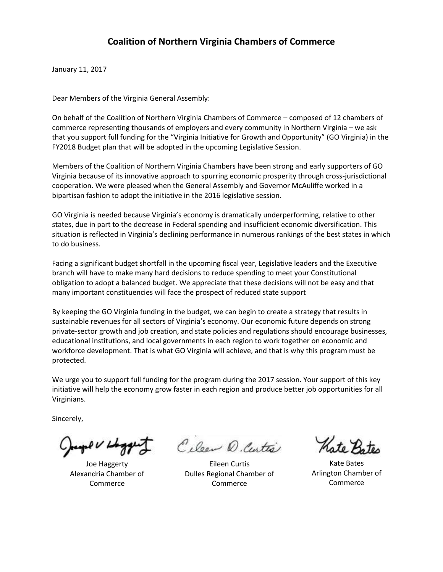January 11, 2017

Dear Members of the Virginia General Assembly:

On behalf of the Coalition of Northern Virginia Chambers of Commerce – composed of 12 chambers of commerce representing thousands of employers and every community in Northern Virginia – we ask that you support full funding for the "Virginia Initiative for Growth and Opportunity" (GO Virginia) in the FY2018 Budget plan that will be adopted in the upcoming Legislative Session.

Members of the Coalition of Northern Virginia Chambers have been strong and early supporters of GO Virginia because of its innovative approach to spurring economic prosperity through cross-jurisdictional cooperation. We were pleased when the General Assembly and Governor McAuliffe worked in a bipartisan fashion to adopt the initiative in the 2016 legislative session.

GO Virginia is needed because Virginia's economy is dramatically underperforming, relative to other states, due in part to the decrease in Federal spending and insufficient economic diversification. This situation is reflected in Virginia's declining performance in numerous rankings of the best states in which to do business.

Facing a significant budget shortfall in the upcoming fiscal year, Legislative leaders and the Executive branch will have to make many hard decisions to reduce spending to meet your Constitutional obligation to adopt a balanced budget. We appreciate that these decisions will not be easy and that many important constituencies will face the prospect of reduced state support

By keeping the GO Virginia funding in the budget, we can begin to create a strategy that results in sustainable revenues for all sectors of Virginia's economy. Our economic future depends on strong private-sector growth and job creation, and state policies and regulations should encourage businesses, educational institutions, and local governments in each region to work together on economic and workforce development. That is what GO Virginia will achieve, and that is why this program must be protected.

We urge you to support full funding for the program during the 2017 session. Your support of this key initiative will help the economy grow faster in each region and produce better job opportunities for all Virginians.

Sincerely,

Joe Haggerty Alexandria Chamber of Commerce

Cilean D. Centre

Eileen Curtis Dulles Regional Chamber of Commerce

Kate Bates Arlington Chamber of Commerce